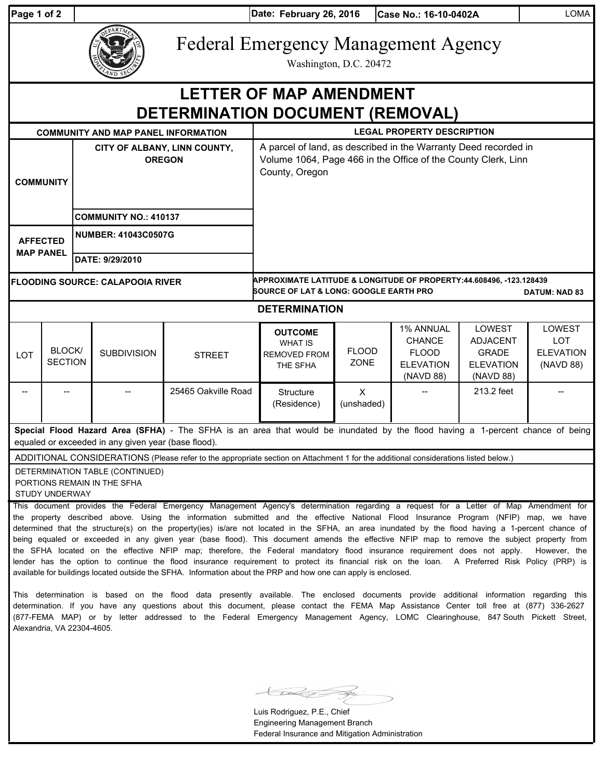| Page 1 of 2                             |                          |                                               |                                                                |                                                                                                                                                                                                                                                                                                                                                                                                                                                                                                                                                                                                                                                                                                                                                                                                                                                                                                                                                                                                                                                                                                                          | Date: February 26, 2016                                                                                                                            |                      | Case No.: 16-10-0402A                                                       |                                                                            | <b>LOMA</b>                                           |  |  |
|-----------------------------------------|--------------------------|-----------------------------------------------|----------------------------------------------------------------|--------------------------------------------------------------------------------------------------------------------------------------------------------------------------------------------------------------------------------------------------------------------------------------------------------------------------------------------------------------------------------------------------------------------------------------------------------------------------------------------------------------------------------------------------------------------------------------------------------------------------------------------------------------------------------------------------------------------------------------------------------------------------------------------------------------------------------------------------------------------------------------------------------------------------------------------------------------------------------------------------------------------------------------------------------------------------------------------------------------------------|----------------------------------------------------------------------------------------------------------------------------------------------------|----------------------|-----------------------------------------------------------------------------|----------------------------------------------------------------------------|-------------------------------------------------------|--|--|
|                                         |                          |                                               |                                                                |                                                                                                                                                                                                                                                                                                                                                                                                                                                                                                                                                                                                                                                                                                                                                                                                                                                                                                                                                                                                                                                                                                                          | <b>Federal Emergency Management Agency</b><br>Washington, D.C. 20472                                                                               |                      |                                                                             |                                                                            |                                                       |  |  |
|                                         |                          |                                               |                                                                | DETERMINATION DOCUMENT (REMOVAL)                                                                                                                                                                                                                                                                                                                                                                                                                                                                                                                                                                                                                                                                                                                                                                                                                                                                                                                                                                                                                                                                                         | <b>LETTER OF MAP AMENDMENT</b>                                                                                                                     |                      |                                                                             |                                                                            |                                                       |  |  |
|                                         |                          |                                               | <b>COMMUNITY AND MAP PANEL INFORMATION</b>                     |                                                                                                                                                                                                                                                                                                                                                                                                                                                                                                                                                                                                                                                                                                                                                                                                                                                                                                                                                                                                                                                                                                                          | <b>LEGAL PROPERTY DESCRIPTION</b>                                                                                                                  |                      |                                                                             |                                                                            |                                                       |  |  |
| <b>COMMUNITY</b>                        |                          | CITY OF ALBANY, LINN COUNTY,<br><b>OREGON</b> |                                                                |                                                                                                                                                                                                                                                                                                                                                                                                                                                                                                                                                                                                                                                                                                                                                                                                                                                                                                                                                                                                                                                                                                                          | A parcel of land, as described in the Warranty Deed recorded in<br>Volume 1064, Page 466 in the Office of the County Clerk, Linn<br>County, Oregon |                      |                                                                             |                                                                            |                                                       |  |  |
|                                         |                          | <b>COMMUNITY NO.: 410137</b>                  |                                                                |                                                                                                                                                                                                                                                                                                                                                                                                                                                                                                                                                                                                                                                                                                                                                                                                                                                                                                                                                                                                                                                                                                                          |                                                                                                                                                    |                      |                                                                             |                                                                            |                                                       |  |  |
| <b>AFFECTED</b><br><b>MAP PANEL</b>     |                          | <b>NUMBER: 41043C0507G</b><br>DATE: 9/29/2010 |                                                                |                                                                                                                                                                                                                                                                                                                                                                                                                                                                                                                                                                                                                                                                                                                                                                                                                                                                                                                                                                                                                                                                                                                          |                                                                                                                                                    |                      |                                                                             |                                                                            |                                                       |  |  |
| <b>FLOODING SOURCE: CALAPOOIA RIVER</b> |                          |                                               |                                                                |                                                                                                                                                                                                                                                                                                                                                                                                                                                                                                                                                                                                                                                                                                                                                                                                                                                                                                                                                                                                                                                                                                                          | APPROXIMATE LATITUDE & LONGITUDE OF PROPERTY:44.608496, -123.128439<br><b>SOURCE OF LAT &amp; LONG: GOOGLE EARTH PRO</b><br><b>DATUM: NAD 83</b>   |                      |                                                                             |                                                                            |                                                       |  |  |
|                                         |                          |                                               |                                                                |                                                                                                                                                                                                                                                                                                                                                                                                                                                                                                                                                                                                                                                                                                                                                                                                                                                                                                                                                                                                                                                                                                                          | <b>DETERMINATION</b>                                                                                                                               |                      |                                                                             |                                                                            |                                                       |  |  |
| <b>LOT</b>                              | BLOCK/<br><b>SECTION</b> |                                               | <b>SUBDIVISION</b>                                             | <b>STREET</b>                                                                                                                                                                                                                                                                                                                                                                                                                                                                                                                                                                                                                                                                                                                                                                                                                                                                                                                                                                                                                                                                                                            | <b>OUTCOME</b><br><b>WHAT IS</b><br><b>REMOVED FROM</b><br>THE SFHA                                                                                | <b>FLOOD</b><br>ZONE | 1% ANNUAL<br><b>CHANCE</b><br><b>FLOOD</b><br><b>ELEVATION</b><br>(NAVD 88) | LOWEST<br><b>ADJACENT</b><br><b>GRADE</b><br><b>ELEVATION</b><br>(NAVD 88) | LOWEST<br><b>LOT</b><br><b>ELEVATION</b><br>(NAVD 88) |  |  |
|                                         |                          |                                               | 25465 Oakville Road                                            |                                                                                                                                                                                                                                                                                                                                                                                                                                                                                                                                                                                                                                                                                                                                                                                                                                                                                                                                                                                                                                                                                                                          | Structure<br>(Residence)                                                                                                                           | X<br>(unshaded)      |                                                                             | 213.2 feet                                                                 |                                                       |  |  |
|                                         |                          |                                               | equaled or exceeded in any given year (base flood).            | Special Flood Hazard Area (SFHA) - The SFHA is an area that would be inundated by the flood having a 1-percent chance of being                                                                                                                                                                                                                                                                                                                                                                                                                                                                                                                                                                                                                                                                                                                                                                                                                                                                                                                                                                                           |                                                                                                                                                    |                      |                                                                             |                                                                            |                                                       |  |  |
|                                         | STUDY UNDERWAY           |                                               | DETERMINATION TABLE (CONTINUED)<br>PORTIONS REMAIN IN THE SFHA | ADDITIONAL CONSIDERATIONS (Please refer to the appropriate section on Attachment 1 for the additional considerations listed below.)                                                                                                                                                                                                                                                                                                                                                                                                                                                                                                                                                                                                                                                                                                                                                                                                                                                                                                                                                                                      |                                                                                                                                                    |                      |                                                                             |                                                                            |                                                       |  |  |
|                                         |                          |                                               |                                                                | This document provides the Federal Emergency Management Agency's determination regarding a request for a Letter of Map Amendment for<br>the property described above. Using the information submitted and the effective National Flood Insurance Program (NFIP) map, we have<br>determined that the structure(s) on the property(ies) is/are not located in the SFHA, an area inundated by the flood having a 1-percent chance of<br>being equaled or exceeded in any given year (base flood). This document amends the effective NFIP map to remove the subject property from<br>the SFHA located on the effective NFIP map; therefore, the Federal mandatory flood insurance requirement does not apply.<br>lender has the option to continue the flood insurance requirement to protect its financial risk on the loan. A Preferred Risk Policy (PRP) is<br>available for buildings located outside the SFHA. Information about the PRP and how one can apply is enclosed.<br>This determination is based on the flood data presently available. The enclosed documents provide additional information regarding this |                                                                                                                                                    |                      |                                                                             |                                                                            | However, the                                          |  |  |

determination. If you have any questions about this document, please contact the FEMA Map Assistance Center toll free at (877) 336-2627 (877-FEMA MAP) or by letter addressed to the Federal Emergency Management Agency, LOMC Clearinghouse, 847 South Pickett Street, Alexandria, VA 22304-4605.

**Kraik S** Ź.

Luis Rodriguez, P.E., Chief Engineering Management Branch Federal Insurance and Mitigation Administration